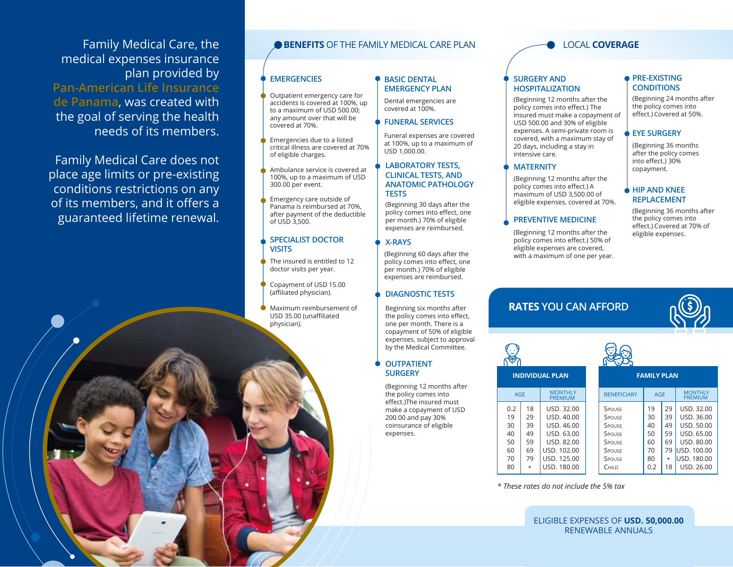Family Medical Care, the medical expenses insurance plan provided by **Pan-American Life Insurance de Panama**, was created with the goal of serving the health needs of its members.

Family Medical Care does not place age limits or pre-existing conditions restrictions on any of its members, and it offers a guaranteed lifetime renewal.

### **BENEFITS OF THE FAMILY MEDICAL CARE PLAN**

#### **EMERGENCIES**

- Outpatient emergency care for accidents is covered at 100%, up to a maximum of USD 500.00; any amount over that will be covered at 70%.
- Emergencies due to a listed critical illness are covered at 70% of eligible charges.
- Ambulance service is covered at 100%, up to a maximum of USD 300.00 per event.
- Emergency care outside of Panama is reimbursed at 70%, after payment of the deductible of USD 3,500.

#### **SPECIALIST DOCTOR VISITS**

- The insured is entitled to 12 doctor visits per year.
- Copayment of USD 15.00 (affiliated physician).
- Maximum reimbursement of USD 35.00 (unaffiliated physician).

### **BASIC DENTAL EMERGENCY PLAN**

Dental emergencies are covered at 100%.

### **FUNERAL SERVICES**

Funeral expenses are covered at 100%, up to a maximum of USD 1,000.00.

#### **LABORATORY TESTS, CLINICAL TESTS, AND ANATOMIC PATHOLOGY TESTS**

(Beginning 30 days after the policy comes into effect, one per month.) 70% of eligible expenses are reimbursed.

#### **X-RAYS**

(Beginning 60 days after the policy comes into effect, one per month.) 70% of eligible expenses are reimbursed.

### **DIAGNOSTIC TESTS**

Beginning six months after the policy comes into effect, one per month. There is a copayment of 50% of eligible expenses, subject to approval by the Medical Committee.

#### **OUTPATIENT SURGERY**

(Beginning 12 months after the policy comes into effect.)The insured must make a copayment of USD 200.00 and pay 30% coinsurance of eligible expenses.

### LOCAL **COVERAGE**

#### **SURGERY AND HOSPITALIZATION**

(Beginning 12 months after the policy comes into effect.) The insured must make a copayment of USD 500.00 and 30% of eligible expenses. A semi-private room is covered, with a maximum stay of 20 days, including a stay in intensive care.

#### **MATERNITY**

(Beginning 12 months after the policy comes into effect.) A maximum of USD 3,500.00 of eligible expenses, covered at 70%.

#### **PREVENTIVE MEDICINE**

(Beginning 12 months after the policy comes into effect.) 50% of eligible expenses are covered, with a maximum of one per year.

# **RATES YOU CAN AFFORD**



| INDIVIDUAL PLAN |  |
|-----------------|--|
|                 |  |

|    | <b>MONTHLY</b><br>PREMIUM | <b>BENEFICIARY</b> |
|----|---------------------------|--------------------|
| 18 | USD, 32.00                | SPOUSE             |
| 29 | USD, 40.00                | SPOUSE             |
| 39 | USD, 46.00                | SPOUSE             |
| 49 | USD, 63,00                | SPOUSE             |
| 59 | USD, 82.00                | SPOUSE             |
| 69 | USD, 102.00               | SPOUSE             |
| 79 | USD, 125.00               | SPOUSE             |
|    | USD, 180.00               | Сніі р             |
|    |                           |                    |

# **PRE-EXISTING CONDITIONS**

(Beginning 24 months after the policy comes into effect.) Covered at 50%.

### **EYE SURGERY**

(Beginning 36 months after the policy comes into effect.) 30% copayment.

#### **HIP AND KNEE REPLACEMENT**

(Beginning 36 months after the policy comes into effect.) Covered at 70% of eligible expenses.



| . .<br>--          | <b>FAMILY P</b> |  |
|--------------------|-----------------|--|
| <b>BENEFICIARY</b> | AGE             |  |
| $C_{DOLICF}$       |                 |  |

| <b>ENEFICIARY</b> | <b>AGE</b> |     | <b>MONTHLY</b><br><b>PREMIUM</b> |
|-------------------|------------|-----|----------------------------------|
| <b>OUSE</b>       | 19         | 29  | USD, 32.00                       |
| OUSE              | 30         | 39  | USD, 36.00                       |
| <b>OUSE</b>       | 40         | 49  | USD, 50.00                       |
| <b>OUSE</b>       | 50         | 59  | USD, 65,00                       |
| <b>OUSE</b>       | 60         | 69  | <b>USD, 80.00</b>                |
| <b>OUSE</b>       | 70         | 79  | USD, 100.00                      |
| <b>OUSE</b>       | 80         | $+$ | USD, 180.00                      |
| HII D             | 0.2        | 18  | USD, 26.00                       |

**FAMILY PLAN** 

*\* These rates do not include the 5% tax* 

ELIGIBLE EXPENSES OF **USD. 50,000.00** RENEWABLE ANNUALS